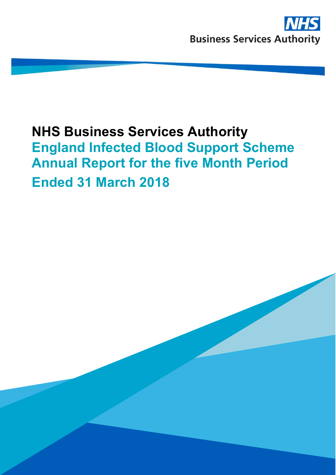EIBSS Annual Report 2017/18 1

# **NHS Business Services Authority England Infected Blood Support Scheme Annual Report for the five Month Period Ended 31 March 2018**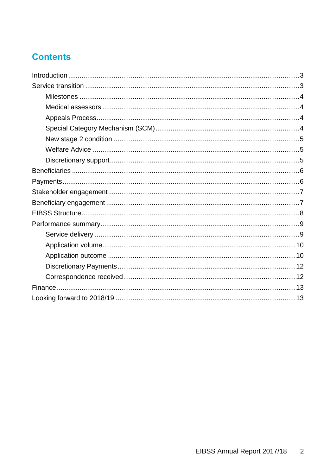## **Contents**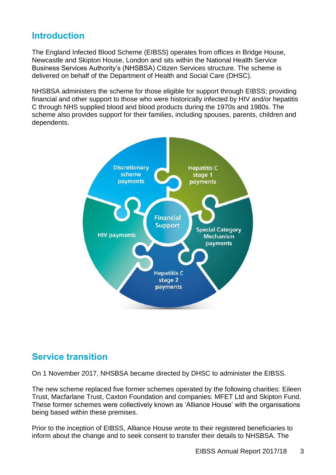### <span id="page-2-0"></span>**Introduction**

The England Infected Blood Scheme (EIBSS) operates from offices in Bridge House, Newcastle and Skipton House, London and sits within the National Health Service Business Services Authority's (NHSBSA) Citizen Services structure. The scheme is delivered on behalf of the Department of Health and Social Care (DHSC).

NHSBSA administers the scheme for those eligible for support through EIBSS; providing financial and other support to those who were historically infected by HIV and/or hepatitis C through NHS supplied blood and blood products during the 1970s and 1980s. The scheme also provides support for their families, including spouses, parents, children and dependents.



### <span id="page-2-1"></span>**Service transition**

On 1 November 2017, NHSBSA became directed by DHSC to administer the EIBSS.

The new scheme replaced five former schemes operated by the following charities: Eileen Trust, Macfarlane Trust, Caxton Foundation and companies: MFET Ltd and Skipton Fund. These former schemes were collectively known as 'Alliance House' with the organisations being based within these premises.

Prior to the inception of EIBSS, Alliance House wrote to their registered beneficiaries to inform about the change and to seek consent to transfer their details to NHSBSA. The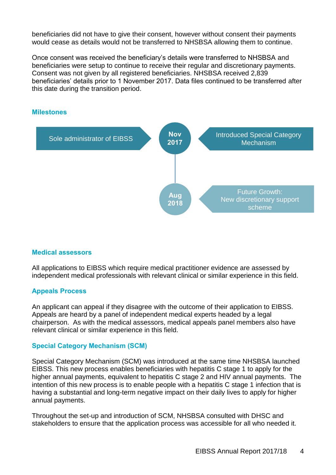beneficiaries did not have to give their consent, however without consent their payments would cease as details would not be transferred to NHSBSA allowing them to continue.

Once consent was received the beneficiary's details were transferred to NHSBSA and beneficiaries were setup to continue to receive their regular and discretionary payments. Consent was not given by all registered beneficiaries. NHSBSA received 2,839 beneficiaries' details prior to 1 November 2017. Data files continued to be transferred after this date during the transition period.



#### <span id="page-3-0"></span>**Milestones**

#### <span id="page-3-1"></span>**Medical assessors**

All applications to EIBSS which require medical practitioner evidence are assessed by independent medical professionals with relevant clinical or similar experience in this field.

#### <span id="page-3-2"></span>**Appeals Process**

An applicant can appeal if they disagree with the outcome of their application to EIBSS. Appeals are heard by a panel of independent medical experts headed by a legal chairperson. As with the medical assessors, medical appeals panel members also have relevant clinical or similar experience in this field.

#### <span id="page-3-3"></span>**Special Category Mechanism (SCM)**

Special Category Mechanism (SCM) was introduced at the same time NHSBSA launched EIBSS. This new process enables beneficiaries with hepatitis C stage 1 to apply for the higher annual payments, equivalent to hepatitis C stage 2 and HIV annual payments. The intention of this new process is to enable people with a hepatitis C stage 1 infection that is having a substantial and long-term negative impact on their daily lives to apply for higher annual payments.

Throughout the set-up and introduction of SCM, NHSBSA consulted with DHSC and stakeholders to ensure that the application process was accessible for all who needed it.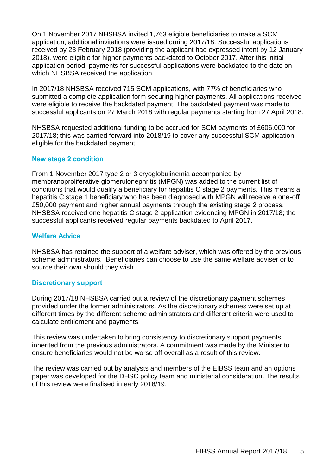On 1 November 2017 NHSBSA invited 1,763 eligible beneficiaries to make a SCM application; additional invitations were issued during 2017/18. Successful applications received by 23 February 2018 (providing the applicant had expressed intent by 12 January 2018), were eligible for higher payments backdated to October 2017. After this initial application period, payments for successful applications were backdated to the date on which NHSBSA received the application.

In 2017/18 NHSBSA received 715 SCM applications, with 77% of beneficiaries who submitted a complete application form securing higher payments. All applications received were eligible to receive the backdated payment. The backdated payment was made to successful applicants on 27 March 2018 with regular payments starting from 27 April 2018.

NHSBSA requested additional funding to be accrued for SCM payments of £606,000 for 2017/18; this was carried forward into 2018/19 to cover any successful SCM application eligible for the backdated payment.

#### <span id="page-4-0"></span>**New stage 2 condition**

From 1 November 2017 type 2 or 3 cryoglobulinemia accompanied by membranoproliferative glomerulonephritis (MPGN) was added to the current list of conditions that would qualify a beneficiary for hepatitis C stage 2 payments. This means a hepatitis C stage 1 beneficiary who has been diagnosed with MPGN will receive a one-off £50,000 payment and higher annual payments through the existing stage 2 process. NHSBSA received one hepatitis C stage 2 application evidencing MPGN in 2017/18; the successful applicants received regular payments backdated to April 2017.

#### <span id="page-4-1"></span>**Welfare Advice**

NHSBSA has retained the support of a welfare adviser, which was offered by the previous scheme administrators. Beneficiaries can choose to use the same welfare adviser or to source their own should they wish.

#### <span id="page-4-2"></span>**Discretionary support**

During 2017/18 NHSBSA carried out a review of the discretionary payment schemes provided under the former administrators. As the discretionary schemes were set up at different times by the different scheme administrators and different criteria were used to calculate entitlement and payments.

This review was undertaken to bring consistency to discretionary support payments inherited from the previous administrators. A commitment was made by the Minister to ensure beneficiaries would not be worse off overall as a result of this review.

The review was carried out by analysts and members of the EIBSS team and an options paper was developed for the DHSC policy team and ministerial consideration. The results of this review were finalised in early 2018/19.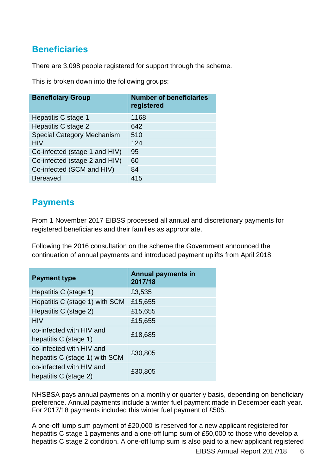### <span id="page-5-0"></span>**Beneficiaries**

There are 3,098 people registered for support through the scheme.

This is broken down into the following groups:

| <b>Beneficiary Group</b>          | <b>Number of beneficiaries</b><br>registered |
|-----------------------------------|----------------------------------------------|
| Hepatitis C stage 1               | 1168                                         |
| Hepatitis C stage 2               | 642                                          |
| <b>Special Category Mechanism</b> | 510                                          |
| <b>HIV</b>                        | 124                                          |
| Co-infected (stage 1 and HIV)     | 95                                           |
| Co-infected (stage 2 and HIV)     | 60                                           |
| Co-infected (SCM and HIV)         | 84                                           |
| <b>Bereaved</b>                   | 415                                          |

### <span id="page-5-1"></span>**Payments**

From 1 November 2017 EIBSS processed all annual and discretionary payments for registered beneficiaries and their families as appropriate.

Following the 2016 consultation on the scheme the Government announced the continuation of annual payments and introduced payment uplifts from April 2018.

| <b>Payment type</b>                                        | <b>Annual payments in</b><br>2017/18 |
|------------------------------------------------------------|--------------------------------------|
| Hepatitis C (stage 1)                                      | £3,535                               |
| Hepatitis C (stage 1) with SCM                             | £15,655                              |
| Hepatitis C (stage 2)                                      | £15,655                              |
| <b>HIV</b>                                                 | £15,655                              |
| co-infected with HIV and<br>hepatitis C (stage 1)          | £18,685                              |
| co-infected with HIV and<br>hepatitis C (stage 1) with SCM | £30,805                              |
| co-infected with HIV and<br>hepatitis C (stage 2)          | £30,805                              |

NHSBSA pays annual payments on a monthly or quarterly basis, depending on beneficiary preference. Annual payments include a winter fuel payment made in December each year. For 2017/18 payments included this winter fuel payment of £505.

A one-off lump sum payment of £20,000 is reserved for a new applicant registered for hepatitis C stage 1 payments and a one-off lump sum of £50,000 to those who develop a hepatitis C stage 2 condition. A one-off lump sum is also paid to a new applicant registered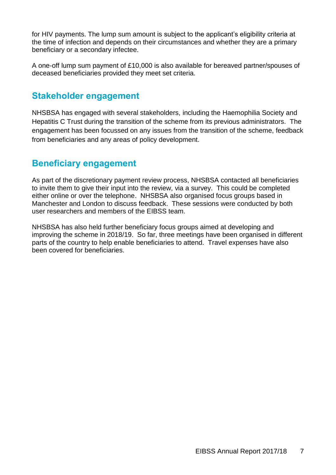for HIV payments. The lump sum amount is subject to the applicant's eligibility criteria at the time of infection and depends on their circumstances and whether they are a primary beneficiary or a secondary infectee.

A one-off lump sum payment of £10,000 is also available for bereaved partner/spouses of deceased beneficiaries provided they meet set criteria.

### <span id="page-6-0"></span>**Stakeholder engagement**

NHSBSA has engaged with several stakeholders, including the Haemophilia Society and Hepatitis C Trust during the transition of the scheme from its previous administrators. The engagement has been focussed on any issues from the transition of the scheme, feedback from beneficiaries and any areas of policy development.

### <span id="page-6-1"></span>**Beneficiary engagement**

As part of the discretionary payment review process, NHSBSA contacted all beneficiaries to invite them to give their input into the review, via a survey. This could be completed either online or over the telephone. NHSBSA also organised focus groups based in Manchester and London to discuss feedback. These sessions were conducted by both user researchers and members of the EIBSS team.

NHSBSA has also held further beneficiary focus groups aimed at developing and improving the scheme in 2018/19. So far, three meetings have been organised in different parts of the country to help enable beneficiaries to attend. Travel expenses have also been covered for beneficiaries.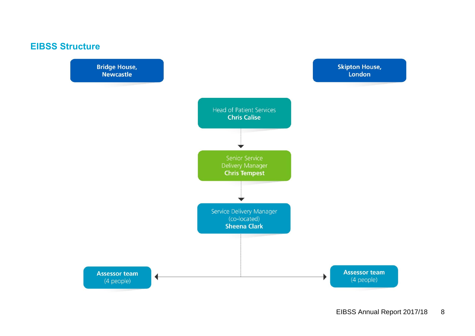

<span id="page-7-0"></span>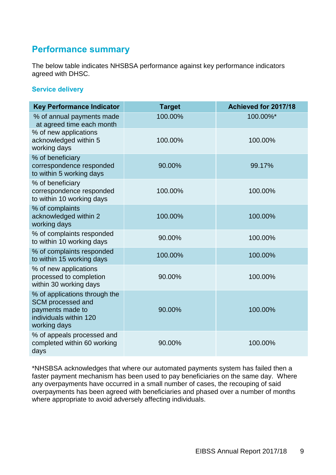### <span id="page-8-0"></span>**Performance summary**

The below table indicates NHSBSA performance against key performance indicators agreed with DHSC.

#### <span id="page-8-1"></span>**Service delivery**

| <b>Key Performance Indicator</b>                                                                                 | <b>Target</b> | Achieved for 2017/18 |
|------------------------------------------------------------------------------------------------------------------|---------------|----------------------|
| % of annual payments made<br>at agreed time each month                                                           | 100.00%       | 100.00%*             |
| % of new applications<br>acknowledged within 5<br>working days                                                   | 100.00%       | 100.00%              |
| % of beneficiary<br>correspondence responded<br>to within 5 working days                                         | 90.00%        | 99.17%               |
| % of beneficiary<br>correspondence responded<br>to within 10 working days                                        | 100.00%       | 100.00%              |
| % of complaints<br>acknowledged within 2<br>working days                                                         | 100.00%       | 100.00%              |
| % of complaints responded<br>to within 10 working days                                                           | 90.00%        | 100.00%              |
| % of complaints responded<br>to within 15 working days                                                           | 100.00%       | 100.00%              |
| % of new applications<br>processed to completion<br>within 30 working days                                       | 90.00%        | 100.00%              |
| % of applications through the<br>SCM processed and<br>payments made to<br>individuals within 120<br>working days | 90.00%        | 100.00%              |
| % of appeals processed and<br>completed within 60 working<br>days                                                | 90.00%        | 100.00%              |

\*NHSBSA acknowledges that where our automated payments system has failed then a faster payment mechanism has been used to pay beneficiaries on the same day. Where any overpayments have occurred in a small number of cases, the recouping of said overpayments has been agreed with beneficiaries and phased over a number of months where appropriate to avoid adversely affecting individuals.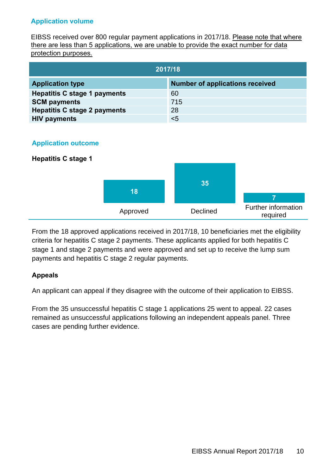#### **Application volume**

<span id="page-9-0"></span>EIBSS received over 800 regular payment applications in 2017/18. Please note that where there are less than 5 applications, we are unable to provide the exact number for data protection purposes.

| 2017/18                             |                                        |  |
|-------------------------------------|----------------------------------------|--|
| <b>Application type</b>             | <b>Number of applications received</b> |  |
| <b>Hepatitis C stage 1 payments</b> | 60                                     |  |
| <b>SCM payments</b>                 | 715                                    |  |
| <b>Hepatitis C stage 2 payments</b> | 28                                     |  |
| <b>HIV payments</b>                 | $5$                                    |  |

#### <span id="page-9-1"></span>**Application outcome**

#### **Hepatitis C stage 1**



From the 18 approved applications received in 2017/18, 10 beneficiaries met the eligibility criteria for hepatitis C stage 2 payments. These applicants applied for both hepatitis C stage 1 and stage 2 payments and were approved and set up to receive the lump sum payments and hepatitis C stage 2 regular payments.

#### **Appeals**

An applicant can appeal if they disagree with the outcome of their application to EIBSS.

From the 35 unsuccessful hepatitis C stage 1 applications 25 went to appeal. 22 cases remained as unsuccessful applications following an independent appeals panel. Three cases are pending further evidence.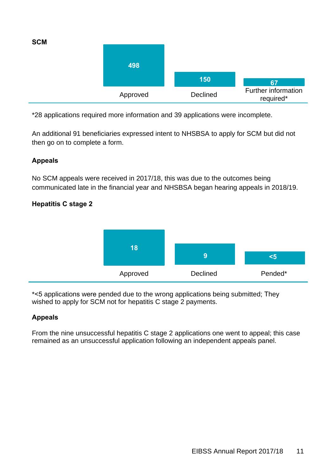

\*28 applications required more information and 39 applications were incomplete.

An additional 91 beneficiaries expressed intent to NHSBSA to apply for SCM but did not then go on to complete a form.

#### **Appeals**

No SCM appeals were received in 2017/18, this was due to the outcomes being communicated late in the financial year and NHSBSA began hearing appeals in 2018/19.

#### **Hepatitis C stage 2**



\*<5 applications were pended due to the wrong applications being submitted; They wished to apply for SCM not for hepatitis C stage 2 payments.

#### **Appeals**

From the nine unsuccessful hepatitis C stage 2 applications one went to appeal; this case remained as an unsuccessful application following an independent appeals panel.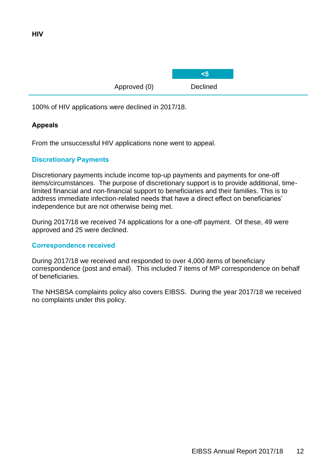**HIV**

Approved (0) Declined

**<5**

100% of HIV applications were declined in 2017/18.

### **Appeals**

From the unsuccessful HIV applications none went to appeal.

#### <span id="page-11-0"></span>**Discretionary Payments**

Discretionary payments include income top-up payments and payments for one-off items/circumstances. The purpose of discretionary support is to provide additional, timelimited financial and non-financial support to beneficiaries and their families. This is to address immediate infection-related needs that have a direct effect on beneficiaries' independence but are not otherwise being met.

During 2017/18 we received 74 applications for a one-off payment. Of these, 49 were approved and 25 were declined.

#### <span id="page-11-1"></span>**Correspondence received**

During 2017/18 we received and responded to over 4,000 items of beneficiary correspondence (post and email). This included 7 items of MP correspondence on behalf of beneficiaries.

The NHSBSA complaints policy also covers EIBSS. During the year 2017/18 we received no complaints under this policy.